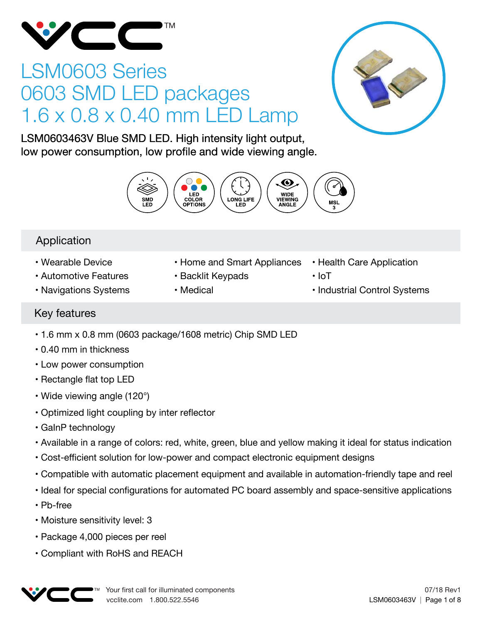

# LSM0603 Series 0603 SMD LED packages 1.6 x 0.8 x 0.40 mm LED Lamp



LSM0603463V Blue SMD LED. High intensity light output, low power consumption, low profile and wide viewing angle.



### Application

- Wearable Device
- Automotive Features
- Navigations Systems
- Home and Smart Appliances
- Backlit Keypads
- Medical
- Health Care Application
- IoT
- Industrial Control Systems

### Key features

- 1.6 mm x 0.8 mm (0603 package/1608 metric) Chip SMD LED
- 0.40 mm in thickness
- Low power consumption
- Rectangle flat top LED
- Wide viewing angle (120°)
- Optimized light coupling by inter reflector
- GaInP technology
- Available in a range of colors: red, white, green, blue and yellow making it ideal for status indication
- Cost-efficient solution for low-power and compact electronic equipment designs
- Compatible with automatic placement equipment and available in automation-friendly tape and reel
- Ideal for special configurations for automated PC board assembly and space-sensitive applications
- Pb-free
- Moisture sensitivity level: 3
- Package 4,000 pieces per reel
- Compliant with RoHS and REACH

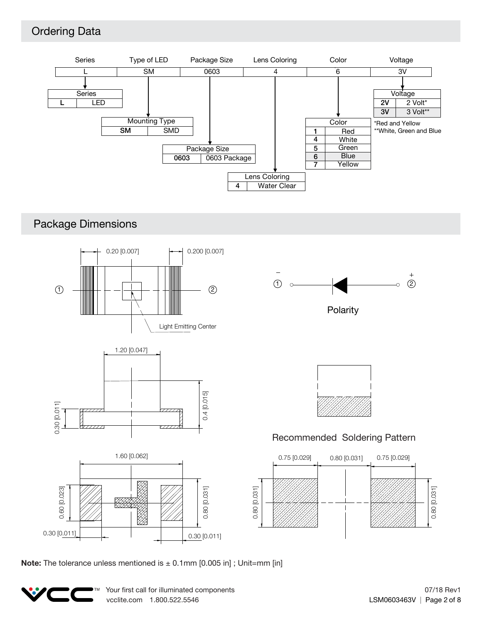### Ordering Data



### Package Dimensions



**Note:** The tolerance unless mentioned is  $\pm$  0.1mm [0.005 in]; Unit=mm [in]

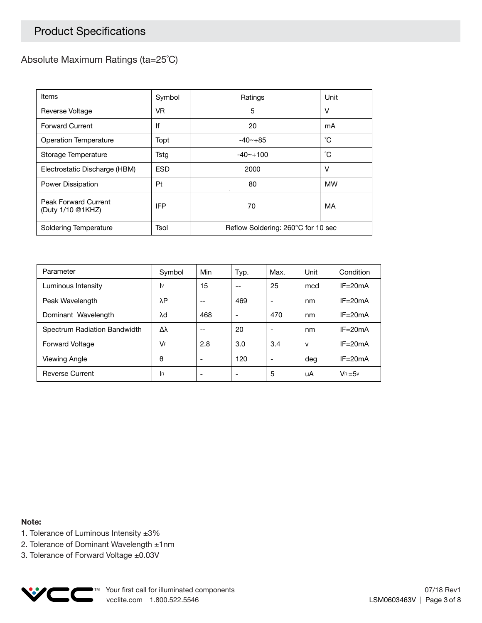### Product Specifications

#### Absolute Maximum Ratings (ta=25˚C)

| Items                                     | Symbol     | Ratings                            | Unit      |  |
|-------------------------------------------|------------|------------------------------------|-----------|--|
| Reverse Voltage                           | VR.        | 5                                  | v         |  |
| <b>Forward Current</b>                    | lf         | 20                                 | mA        |  |
| <b>Operation Temperature</b>              | Topt       | $-40 - +85$                        | °С        |  |
| Storage Temperature                       | Tstg       | $-40$ $-100$                       | °С        |  |
| Electrostatic Discharge (HBM)             | <b>ESD</b> | 2000                               | v         |  |
| Power Dissipation                         | Pt         | 80                                 | <b>MW</b> |  |
| Peak Forward Current<br>(Duty 1/10 @1KHZ) | <b>IFP</b> | 70                                 | MA        |  |
| Soldering Temperature                     | Tsol       | Reflow Soldering: 260°C for 10 sec |           |  |

| Parameter                    | Symbol    | Min                      | Typ. | Max. | Unit | Condition   |
|------------------------------|-----------|--------------------------|------|------|------|-------------|
| Luminous Intensity           | I٧        | 15                       | --   | 25   | mcd  | $IF = 20mA$ |
| Peak Wavelength              | λΡ        | --                       | 469  |      | nm   | $IF = 20mA$ |
| Dominant Wavelength          | λd        | 468                      | ۰    | 470  | nm   | $IF = 20mA$ |
| Spectrum Radiation Bandwidth | Δλ        | --                       | 20   |      | nm   | $IF = 20mA$ |
| <b>Forward Voltage</b>       | VF        | 2.8                      | 3.0  | 3.4  | v    | $IF = 20mA$ |
| Viewing Angle                | θ         |                          | 120  |      | deg  | $IF = 20mA$ |
| <b>Reverse Current</b>       | <b>IR</b> | $\overline{\phantom{0}}$ | ۰    | 5    | uA   | $V_B = 5v$  |

#### **Note:**

- 1. Tolerance of Luminous Intensity ±3%
- 2. Tolerance of Dominant Wavelength ±1nm
- 3. Tolerance of Forward Voltage ±0.03V

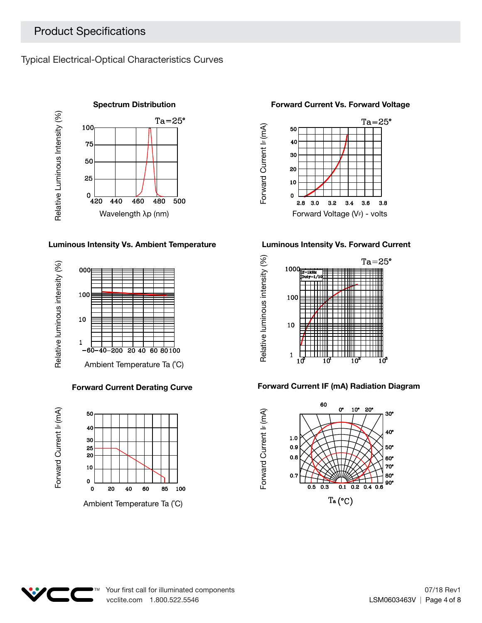Typical Electrical-Optical Characteristics Curves



#### **Luminous Intensity Vs. Ambient Temperature Luminous Intensity Vs. Forward Current**



#### **Forward Current Derating Curve**





#### **Forward Current Vs. Forward Voltage**





#### **Forward Current IF (mA) Radiation Diagram**



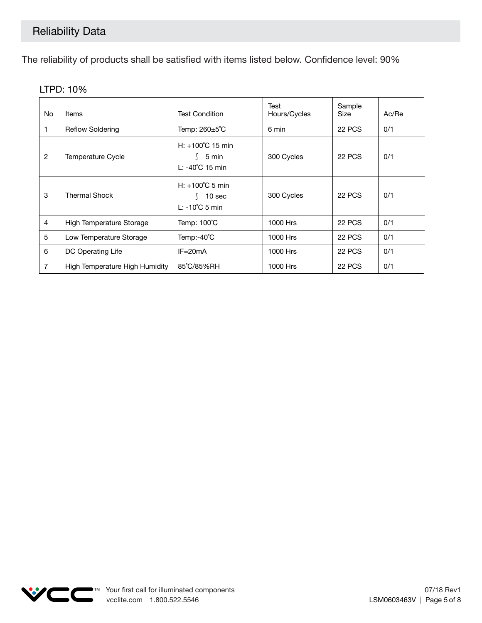The reliability of products shall be satisfied with items listed below. Confidence level: 90%

| No.            | Items                          | <b>Test Condition</b>                                          | Test<br>Hours/Cycles | Sample<br>Size | Ac/Re |
|----------------|--------------------------------|----------------------------------------------------------------|----------------------|----------------|-------|
|                | <b>Reflow Soldering</b>        | Temp: $260 \pm 5^{\circ}$ C                                    | 6 min                | 22 PCS         | 0/1   |
| 2              | Temperature Cycle              | $H: +100^{\circ}C$ 15 min<br>5 min<br>$L: -40^{\circ}C$ 15 min | 300 Cycles           | 22 PCS         | 0/1   |
| 3              | <b>Thermal Shock</b>           | $H: +100^{\circ}$ C 5 min<br>10 sec<br>$L: -10^{\circ}C$ 5 min | 300 Cycles           | 22 PCS         | 0/1   |
| $\overline{4}$ | High Temperature Storage       | Temp: 100°C                                                    | 1000 Hrs             | 22 PCS         | 0/1   |
| 5              | Low Temperature Storage        | Temp:-40°C                                                     | 1000 Hrs             | 22 PCS         | 0/1   |
| 6              | DC Operating Life              | $IF = 20mA$                                                    | 1000 Hrs             | 22 PCS         | 0/1   |
| 7              | High Temperature High Humidity | 85°C/85%RH                                                     | 1000 Hrs             | 22 PCS         | 0/1   |

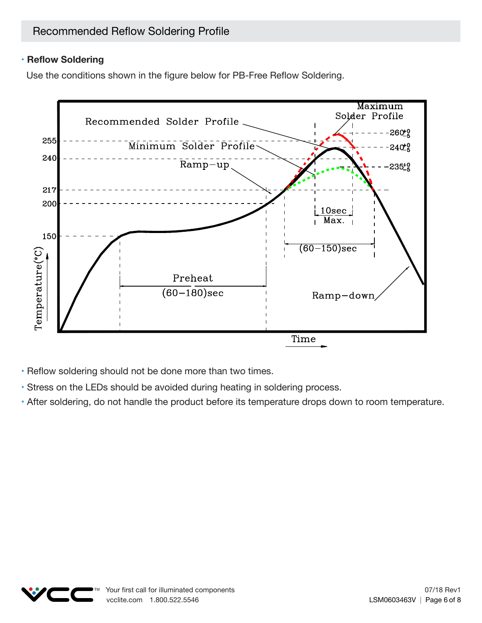### **• Reflow Soldering**

Use the conditions shown in the figure below for PB-Free Reflow Soldering.



• Reflow soldering should not be done more than two times.

- Stress on the LEDs should be avoided during heating in soldering process.
- After soldering, do not handle the product before its temperature drops down to room temperature.

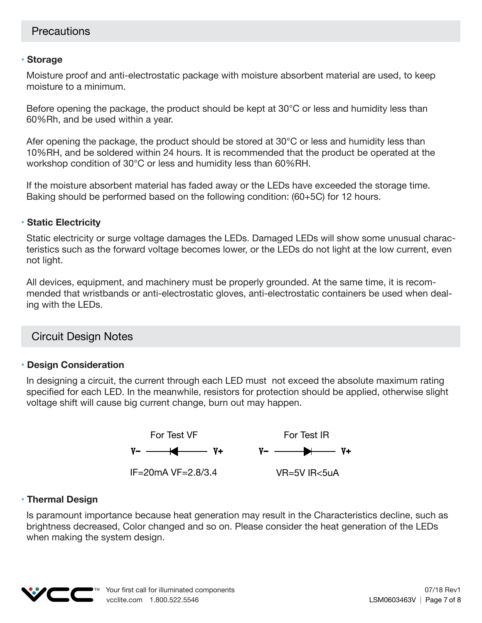#### **• Storage**

Moisture proof and anti-electrostatic package with moisture absorbent material are used, to keep moisture to a minimum.

Before opening the package, the product should be kept at 30°C or less and humidity less than 60%Rh, and be used within a year.

Afer opening the package, the product should be stored at 30°C or less and humidity less than 10%RH, and be soldered within 24 hours. It is recommended that the product be operated at the workshop condition of 30°C or less and humidity less than 60%RH.

If the moisture absorbent material has faded away or the LEDs have exceeded the storage time. Baking should be performed based on the following condition: (60+5C) for 12 hours.

#### **• Static Electricity**

Static electricity or surge voltage damages the LEDs. Damaged LEDs will show some unusual characteristics such as the forward voltage becomes lower, or the LEDs do not light at the low current, even not light.

All devices, equipment, and machinery must be properly grounded. At the same time, it is recommended that wristbands or anti-electrostatic gloves, anti-electrostatic containers be used when dealing with the LEDs.

### Circuit Design Notes

#### **• Design Consideration**

In designing a circuit, the current through each LED must not exceed the absolute maximum rating specified for each LED. In the meanwhile, resistors for protection should be applied, otherwise slight voltage shift will cause big current change, burn out may happen.



#### **• Thermal Design**

Is paramount importance because heat generation may result in the Characteristics decline, such as brightness decreased, Color changed and so on. Please consider the heat generation of the LEDs when making the system design.